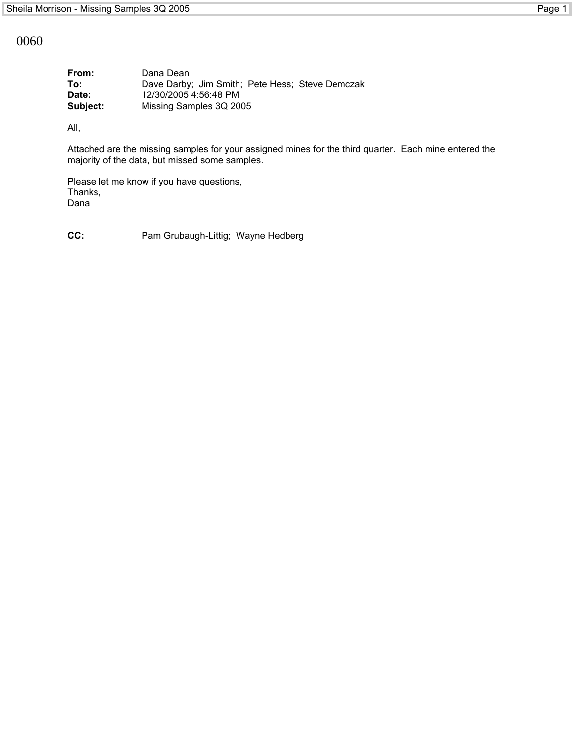0060

| From:    | Dana Dean                                       |
|----------|-------------------------------------------------|
| To:      | Dave Darby; Jim Smith; Pete Hess; Steve Demczak |
| Date:    | 12/30/2005 4:56:48 PM                           |
| Subject: | Missing Samples 3Q 2005                         |

All,

Attached are the missing samples for your assigned mines for the third quarter. Each mine entered the majority of the data, but missed some samples.

Please let me know if you have questions, Thanks, Dana

**CC:** Pam Grubaugh-Littig; Wayne Hedberg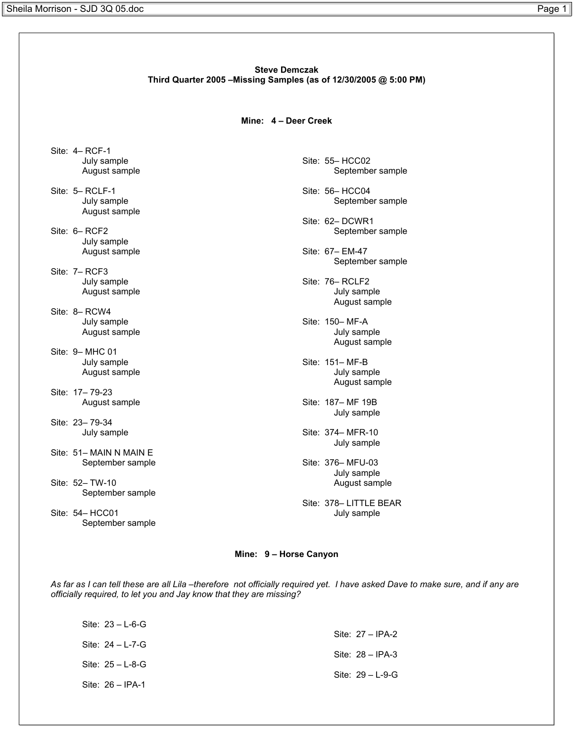# **Steve Demczak Third Quarter 2005 –Missing Samples (as of 12/30/2005 @ 5:00 PM)**

### **Mine: 4 – Deer Creek**

- Site: 4– RCF-1 July sample August sample
- Site: 5– RCLF-1 July sample August sample
- Site: 6– RCF2 July sample August sample
- Site: 7– RCF3 July sample August sample
- Site: 8– RCW4 July sample August sample
- Site: 9– MHC 01 July sample August sample
- Site: 17– 79-23 August sample
- Site: 23– 79-34 July sample
- Site: 51- MAIN N MAIN E September sample
- Site: 52– TW-10 September sample
- Site: 54– HCC01 September sample

Site: 55– HCC02 September sample

- Site: 56– HCC04 September sample
- Site: 62– DCWR1 September sample
- Site: 67– EM-47 September sample
- Site: 76– RCLF2 July sample August sample
- Site: 150– MF-A July sample August sample
- Site: 151– MF-B July sample August sample
- Site: 187– MF 19B July sample
- Site: 374– MFR-10 July sample
- Site: 376– MFU-03 July sample August sample
- Site: 378– LITTLE BEAR July sample

## **Mine: 9 – Horse Canyon**

*As far as I can tell these are all Lila –therefore not officially required yet. I have asked Dave to make sure, and if any are officially required, to let you and Jay know that they are missing?*

| Site: $23 - L - 6 - G$ |                        |
|------------------------|------------------------|
|                        | Site: $27 - IPA-2$     |
| Site: $24 - L - 7 - G$ | Site: $28 - IPA-3$     |
| Site: $25 - L - 8 - G$ |                        |
|                        | Site: $29 - L - 9 - G$ |
| Site: $26 - IPA-1$     |                        |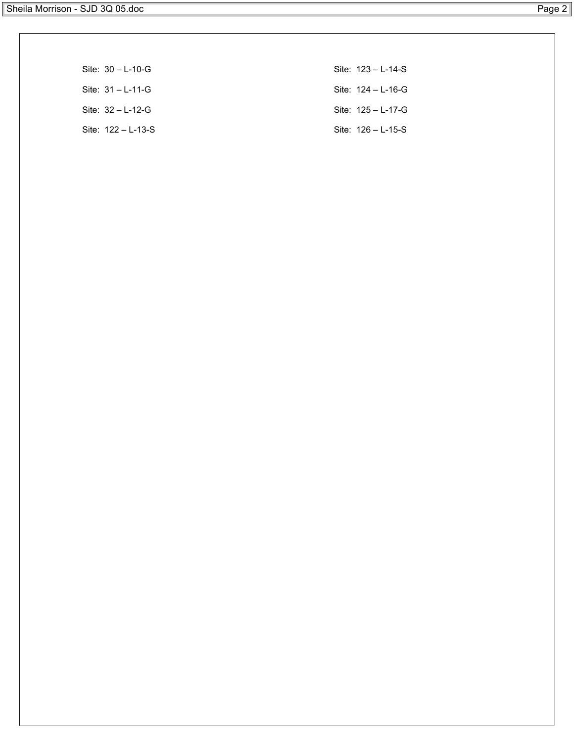| Site: $30 - L - 10 - G$ | Site: $123 - L - 14 - S$ |
|-------------------------|--------------------------|
| Site: $31 - L - 11 - G$ | Site: $124 - L - 16 - G$ |
| Site: $32 - L - 12 - G$ | Site: $125 - L - 17 - G$ |
| Site: $122 - L - 13-S$  | Site: $126 - L - 15-S$   |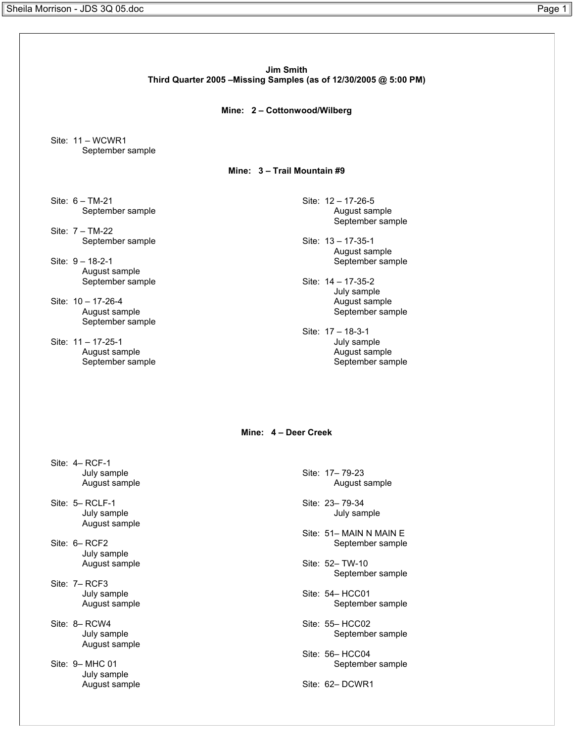**Jim Smith Third Quarter 2005 –Missing Samples (as of 12/30/2005 @ 5:00 PM) Mine: 2 – Cottonwood/Wilberg** Site: 11 – WCWR1 September sample **Mine: 3 – Trail Mountain #9** Site: 6 – TM-21 September sample Site: 7 – TM-22 September sample Site: 9 – 18-2-1 August sample September sample Site: 10 – 17-26-4 August sample September sample Site: 11 – 17-25-1 August sample September sample Site: 12 – 17-26-5 August sample September sample Site: 13 – 17-35-1 August sample September sample Site: 14 – 17-35-2 July sample August sample September sample Site: 17 – 18-3-1 July sample August sample September sample **Mine: 4 – Deer Creek** Site: 4– RCF-1 July sample August sample Site: 5– RCLF-1 July sample August sample Site: 6– RCF2 July sample August sample Site: 7– RCF3 July sample August sample Site: 8– RCW4 July sample August sample Site: 9– MHC 01 July sample August sample Site: 17– 79-23 August sample Site: 23– 79-34 July sample Site: 51- MAIN N MAIN E September sample Site: 52– TW-10 September sample Site: 54– HCC01 September sample Site: 55– HCC02 September sample Site: 56– HCC04 September sample Site: 62– DCWR1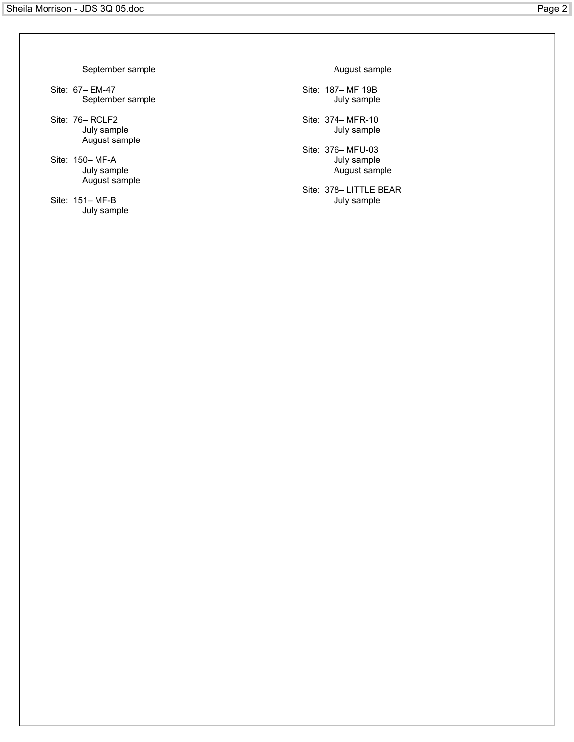September sample

- Site: 67– EM-47 September sample
- Site: 76– RCLF2 July sample August sample
- Site: 150– MF-A July sample August sample
- Site: 151– MF-B July sample

August sample

- Site: 187– MF 19B July sample
- Site: 374– MFR-10 July sample
- Site: 376– MFU-03 July sample August sample
- Site: 378– LITTLE BEAR July sample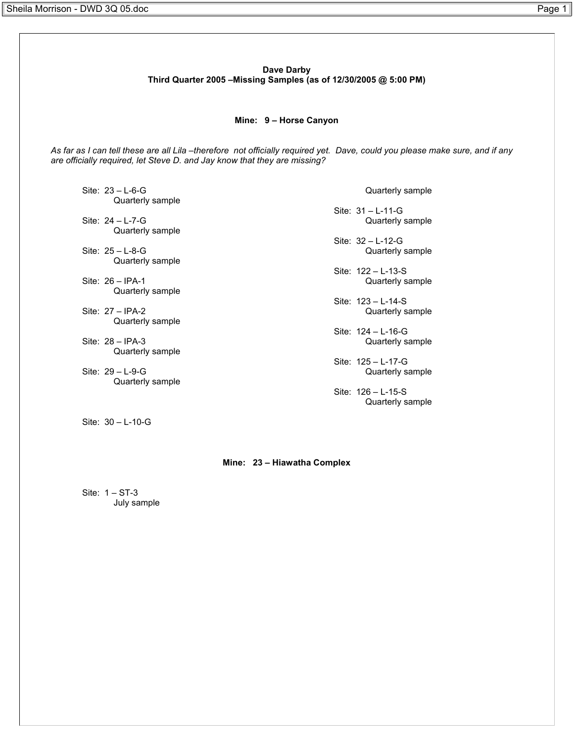**Dave Darby Third Quarter 2005 –Missing Samples (as of 12/30/2005 @ 5:00 PM)**

#### **Mine: 9 – Horse Canyon**

*As far as I can tell these are all Lila –therefore not officially required yet. Dave, could you please make sure, and if any are officially required, let Steve D. and Jay know that they are missing?*

Site: 23 – L-6-G Quarterly sample

Site: 24 – L-7-G Quarterly sample

Site: 25 – L-8-G Quarterly sample

Site: 26 – IPA-1 Quarterly sample

Site: 27 – IPA-2 Quarterly sample

Site: 28 – IPA-3 Quarterly sample

Site: 29 – L-9-G Quarterly sample

Site: 30 – L-10-G

Quarterly sample

Site: 31 – L-11-G Quarterly sample

Site: 32 – L-12-G Quarterly sample

Site: 122 – L-13-S Quarterly sample

Site: 123 – L-14-S Quarterly sample

Site: 124 – L-16-G Quarterly sample

Site: 125 – L-17-G Quarterly sample

Site: 126 – L-15-S Quarterly sample

## **Mine: 23 – Hiawatha Complex**

Site: 1 – ST-3 July sample